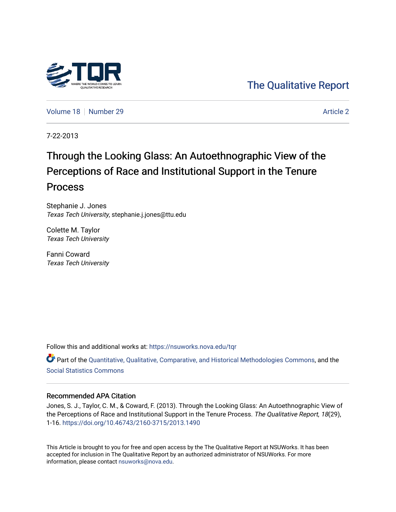

[The Qualitative Report](https://nsuworks.nova.edu/tqr) 

[Volume 18](https://nsuworks.nova.edu/tqr/vol18) [Number 29](https://nsuworks.nova.edu/tqr/vol18/iss29) [Article 2](https://nsuworks.nova.edu/tqr/vol18/iss29/2) Article 2

7-22-2013

# Through the Looking Glass: An Autoethnographic View of the Perceptions of Race and Institutional Support in the Tenure Process

Stephanie J. Jones Texas Tech University, stephanie.j.jones@ttu.edu

Colette M. Taylor Texas Tech University

Fanni Coward Texas Tech University

Follow this and additional works at: [https://nsuworks.nova.edu/tqr](https://nsuworks.nova.edu/tqr?utm_source=nsuworks.nova.edu%2Ftqr%2Fvol18%2Fiss29%2F2&utm_medium=PDF&utm_campaign=PDFCoverPages) 

Part of the [Quantitative, Qualitative, Comparative, and Historical Methodologies Commons,](http://network.bepress.com/hgg/discipline/423?utm_source=nsuworks.nova.edu%2Ftqr%2Fvol18%2Fiss29%2F2&utm_medium=PDF&utm_campaign=PDFCoverPages) and the [Social Statistics Commons](http://network.bepress.com/hgg/discipline/1275?utm_source=nsuworks.nova.edu%2Ftqr%2Fvol18%2Fiss29%2F2&utm_medium=PDF&utm_campaign=PDFCoverPages) 

# Recommended APA Citation

Jones, S. J., Taylor, C. M., & Coward, F. (2013). Through the Looking Glass: An Autoethnographic View of the Perceptions of Race and Institutional Support in the Tenure Process. The Qualitative Report, 18(29), 1-16. <https://doi.org/10.46743/2160-3715/2013.1490>

This Article is brought to you for free and open access by the The Qualitative Report at NSUWorks. It has been accepted for inclusion in The Qualitative Report by an authorized administrator of NSUWorks. For more information, please contact [nsuworks@nova.edu.](mailto:nsuworks@nova.edu)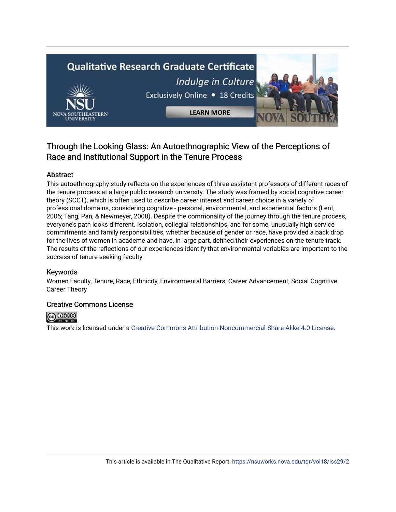# **Qualitative Research Graduate Certificate** Indulge in Culture Exclusively Online . 18 Credits **LEARN MORE**

# Through the Looking Glass: An Autoethnographic View of the Perceptions of Race and Institutional Support in the Tenure Process

# Abstract

This autoethnography study reflects on the experiences of three assistant professors of different races of the tenure process at a large public research university. The study was framed by social cognitive career theory (SCCT), which is often used to describe career interest and career choice in a variety of professional domains, considering cognitive - personal, environmental, and experiential factors (Lent, 2005; Tang, Pan, & Newmeyer, 2008). Despite the commonality of the journey through the tenure process, everyone's path looks different. Isolation, collegial relationships, and for some, unusually high service commitments and family responsibilities, whether because of gender or race, have provided a back drop for the lives of women in academe and have, in large part, defined their experiences on the tenure track. The results of the reflections of our experiences identify that environmental variables are important to the success of tenure seeking faculty.

# Keywords

Women Faculty, Tenure, Race, Ethnicity, Environmental Barriers, Career Advancement, Social Cognitive Career Theory

# Creative Commons License



This work is licensed under a [Creative Commons Attribution-Noncommercial-Share Alike 4.0 License](https://creativecommons.org/licenses/by-nc-sa/4.0/).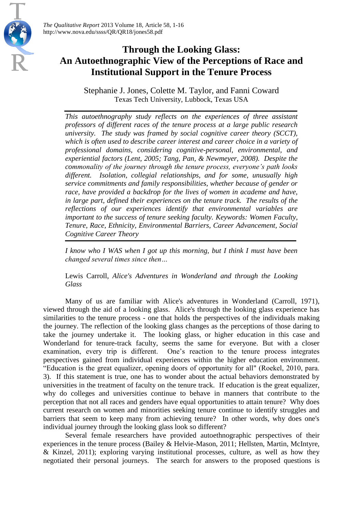*The Qualitative Report* 2013 Volume 18, Article 58, 1-16 http://www.nova.edu/ssss/QR/QR18/jones58.pdf

# **Through the Looking Glass: An Autoethnographic View of the Perceptions of Race and Institutional Support in the Tenure Process**

Stephanie J. Jones, Colette M. Taylor, and Fanni Coward Texas Tech University, Lubbock, Texas USA

*This autoethnography study reflects on the experiences of three assistant professors of different races of the tenure process at a large public research university. The study was framed by social cognitive career theory (SCCT), which is often used to describe career interest and career choice in a variety of professional domains, considering cognitive-personal, environmental, and experiential factors (Lent, 2005; Tang, Pan, & Newmeyer, 2008). Despite the commonality of the journey through the tenure process, everyone's path looks different. Isolation, collegial relationships, and for some, unusually high service commitments and family responsibilities, whether because of gender or race, have provided a backdrop for the lives of women in academe and have, in large part, defined their experiences on the tenure track. The results of the reflections of our experiences identify that environmental variables are important to the success of tenure seeking faculty. Keywords: Women Faculty, Tenure, Race, Ethnicity, Environmental Barriers, Career Advancement, Social Cognitive Career Theory*

*I know who I WAS when I got up this morning, but I think I must have been changed several times since then…*

Lewis Carroll, *Alice's Adventures in Wonderland and through the Looking Glass*

Many of us are familiar with Alice's adventures in Wonderland (Carroll, 1971), viewed through the aid of a looking glass. Alice's through the looking glass experience has similarities to the tenure process - one that holds the perspectives of the individuals making the journey. The reflection of the looking glass changes as the perceptions of those daring to take the journey undertake it. The looking glass, or higher education in this case and Wonderland for tenure-track faculty, seems the same for everyone. But with a closer examination, every trip is different. One's reaction to the tenure process integrates perspectives gained from individual experiences within the higher education environment. "Education is the great equalizer, opening doors of opportunity for all" (Roekel, 2010, para. 3). If this statement is true, one has to wonder about the actual behaviors demonstrated by universities in the treatment of faculty on the tenure track. If education is the great equalizer, why do colleges and universities continue to behave in manners that contribute to the perception that not all races and genders have equal opportunities to attain tenure? Why does current research on women and minorities seeking tenure continue to identify struggles and barriers that seem to keep many from achieving tenure? In other words, why does one's individual journey through the looking glass look so different?

Several female researchers have provided autoethnographic perspectives of their experiences in the tenure process (Bailey & Helvie-Mason, 2011; Hellsten, Martin, McIntyre, & Kinzel, 2011); exploring varying institutional processes, culture, as well as how they negotiated their personal journeys. The search for answers to the proposed questions is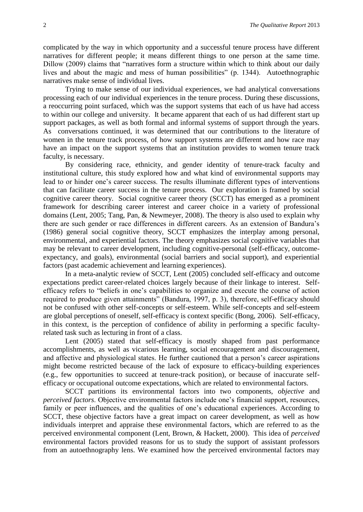complicated by the way in which opportunity and a successful tenure process have different narratives for different people; it means different things to one person at the same time. Dillow (2009) claims that "narratives form a structure within which to think about our daily lives and about the magic and mess of human possibilities" (p. 1344). Autoethnographic narratives make sense of individual lives.

Trying to make sense of our individual experiences, we had analytical conversations processing each of our individual experiences in the tenure process. During these discussions, a reoccurring point surfaced, which was the support systems that each of us have had access to within our college and university. It became apparent that each of us had different start up support packages, as well as both formal and informal systems of support through the years. As conversations continued, it was determined that our contributions to the literature of women in the tenure track process, of how support systems are different and how race may have an impact on the support systems that an institution provides to women tenure track faculty, is necessary.

By considering race, ethnicity, and gender identity of tenure-track faculty and institutional culture, this study explored how and what kind of environmental supports may lead to or hinder one's career success. The results illuminate different types of interventions that can facilitate career success in the tenure process. Our exploration is framed by social cognitive career theory. Social cognitive career theory (SCCT) has emerged as a prominent framework for describing career interest and career choice in a variety of professional domains (Lent, 2005; Tang, Pan, & Newmeyer, 2008). The theory is also used to explain why there are such gender or race differences in different careers. As an extension of Bandura's (1986) general social cognitive theory, SCCT emphasizes the interplay among personal, environmental, and experiential factors. The theory emphasizes social cognitive variables that may be relevant to career development, including cognitive-personal (self-efficacy, outcomeexpectancy, and goals), environmental (social barriers and social support), and experiential factors (past academic achievement and learning experiences).

In a meta-analytic review of SCCT, Lent (2005) concluded self-efficacy and outcome expectations predict career-related choices largely because of their linkage to interest. Selfefficacy refers to "beliefs in one's capabilities to organize and execute the course of action required to produce given attainments" (Bandura, 1997, p. 3), therefore, self-efficacy should not be confused with other self-concepts or self-esteem. While self-concepts and self-esteem are global perceptions of oneself, self-efficacy is context specific (Bong, 2006). Self-efficacy, in this context, is the perception of confidence of ability in performing a specific facultyrelated task such as lecturing in front of a class.

Lent (2005) stated that self-efficacy is mostly shaped from past performance accomplishments, as well as vicarious learning, social encouragement and discouragement, and affective and physiological states. He further cautioned that a person's career aspirations might become restricted because of the lack of exposure to efficacy-building experiences (e.g., few opportunities to succeed at tenure-track position), or because of inaccurate selfefficacy or occupational outcome expectations, which are related to environmental factors.

SCCT partitions its environmental factors into two components, *objective* and *perceived factors*. Objective environmental factors include one's financial support, resources, family or peer influences, and the qualities of one's educational experiences. According to SCCT, these objective factors have a great impact on career development, as well as how individuals interpret and appraise these environmental factors, which are referred to as the perceived environmental component (Lent, Brown, & Hackett, 2000). This idea of *perceived* environmental factors provided reasons for us to study the support of assistant professors from an autoethnography lens. We examined how the perceived environmental factors may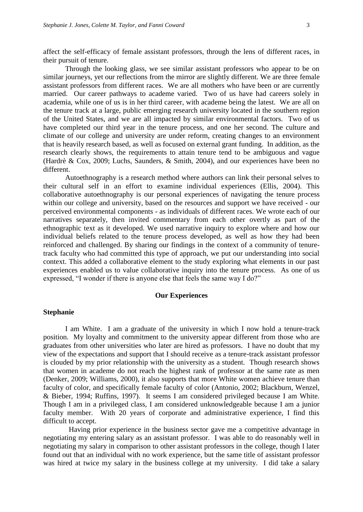affect the self-efficacy of female assistant professors, through the lens of different races, in their pursuit of tenure.

Through the looking glass, we see similar assistant professors who appear to be on similar journeys, yet our reflections from the mirror are slightly different. We are three female assistant professors from different races. We are all mothers who have been or are currently married. Our career pathways to academe varied. Two of us have had careers solely in academia, while one of us is in her third career, with academe being the latest. We are all on the tenure track at a large, public emerging research university located in the southern region of the United States, and we are all impacted by similar environmental factors. Two of us have completed our third year in the tenure process, and one her second. The culture and climate of our college and university are under reform, creating changes to an environment that is heavily research based, as well as focused on external grant funding. In addition, as the research clearly shows, the requirements to attain tenure tend to be ambiguous and vague (Hardrè & Cox, 2009; Luchs, Saunders, & Smith, 2004), and our experiences have been no different.

Autoethnography is a research method where authors can link their personal selves to their cultural self in an effort to examine individual experiences (Ellis, 2004). This collaborative autoethnography is our personal experiences of navigating the tenure process within our college and university, based on the resources and support we have received - our perceived environmental components - as individuals of different races. We wrote each of our narratives separately, then invited commentary from each other overtly as part of the ethnographic text as it developed. We used narrative inquiry to explore where and how our individual beliefs related to the tenure process developed, as well as how they had been reinforced and challenged. By sharing our findings in the context of a community of tenuretrack faculty who had committed this type of approach, we put our understanding into social context. This added a collaborative element to the study exploring what elements in our past experiences enabled us to value collaborative inquiry into the tenure process. As one of us expressed, "I wonder if there is anyone else that feels the same way I do?"

#### **Our Experiences**

#### **Stephanie**

I am White. I am a graduate of the university in which I now hold a tenure-track position. My loyalty and commitment to the university appear different from those who are graduates from other universities who later are hired as professors. I have no doubt that my view of the expectations and support that I should receive as a tenure-track assistant professor is clouded by my prior relationship with the university as a student. Though research shows that women in academe do not reach the highest rank of professor at the same rate as men (Denker, 2009; Williams, 2000), it also supports that more White women achieve tenure than faculty of color, and specifically female faculty of color (Antonio, 2002; Blackburn, Wenzel, & Bieber, 1994; Ruffins, 1997). It seems I am considered privileged because I am White. Though I am in a privileged class, I am considered unknowledgeable because I am a junior faculty member. With 20 years of corporate and administrative experience, I find this difficult to accept.

 Having prior experience in the business sector gave me a competitive advantage in negotiating my entering salary as an assistant professor. I was able to do reasonably well in negotiating my salary in comparison to other assistant professors in the college, though I later found out that an individual with no work experience, but the same title of assistant professor was hired at twice my salary in the business college at my university. I did take a salary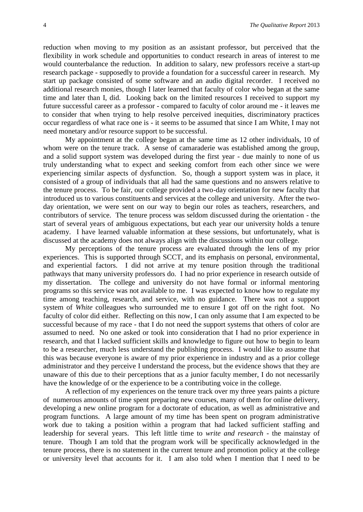reduction when moving to my position as an assistant professor, but perceived that the flexibility in work schedule and opportunities to conduct research in areas of interest to me would counterbalance the reduction. In addition to salary, new professors receive a start-up research package - supposedly to provide a foundation for a successful career in research. My start up package consisted of some software and an audio digital recorder. I received no additional research monies, though I later learned that faculty of color who began at the same time and later than I, did. Looking back on the limited resources I received to support my future successful career as a professor - compared to faculty of color around me - it leaves me to consider that when trying to help resolve perceived inequities, discriminatory practices occur regardless of what race one is - it seems to be assumed that since I am White, I may not need monetary and/or resource support to be successful.

My appointment at the college began at the same time as 12 other individuals, 10 of whom were on the tenure track. A sense of camaraderie was established among the group, and a solid support system was developed during the first year - due mainly to none of us truly understanding what to expect and seeking comfort from each other since we were experiencing similar aspects of dysfunction. So, though a support system was in place, it consisted of a group of individuals that all had the same questions and no answers relative to the tenure process. To be fair, our college provided a two-day orientation for new faculty that introduced us to various constituents and services at the college and university. After the twoday orientation, we were sent on our way to begin our roles as teachers, researchers, and contributors of service. The tenure process was seldom discussed during the orientation - the start of several years of ambiguous expectations, but each year our university holds a tenure academy. I have learned valuable information at these sessions, but unfortunately, what is discussed at the academy does not always align with the discussions within our college.

My perceptions of the tenure process are evaluated through the lens of my prior experiences. This is supported through SCCT, and its emphasis on personal, environmental, and experiential factors. I did not arrive at my tenure position through the traditional pathways that many university professors do. I had no prior experience in research outside of my dissertation. The college and university do not have formal or informal mentoring programs so this service was not available to me. I was expected to know how to regulate my time among teaching, research, and service, with no guidance. There was not a support system of *White* colleagues who surrounded me to ensure I got off on the right foot. No faculty of color did either. Reflecting on this now, I can only assume that I am expected to be successful because of my race - that I do not need the support systems that others of color are assumed to need. No one asked or took into consideration that I had no prior experience in research, and that I lacked sufficient skills and knowledge to figure out how to begin to learn to be a researcher, much less understand the publishing process. I would like to assume that this was because everyone is aware of my prior experience in industry and as a prior college administrator and they perceive I understand the process, but the evidence shows that they are unaware of this due to their perceptions that as a junior faculty member, I do not necessarily have the knowledge of or the experience to be a contributing voice in the college.

A reflection of my experiences on the tenure track over my three years paints a picture of numerous amounts of time spent preparing new courses, many of them for online delivery, developing a new online program for a doctorate of education, as well as administrative and program functions. A large amount of my time has been spent on program administrative work due to taking a position within a program that had lacked sufficient staffing and leadership for several years. This left little time to *write and research* - the mainstay of tenure. Though I am told that the program work will be specifically acknowledged in the tenure process, there is no statement in the current tenure and promotion policy at the college or university level that accounts for it. I am also told when I mention that I need to be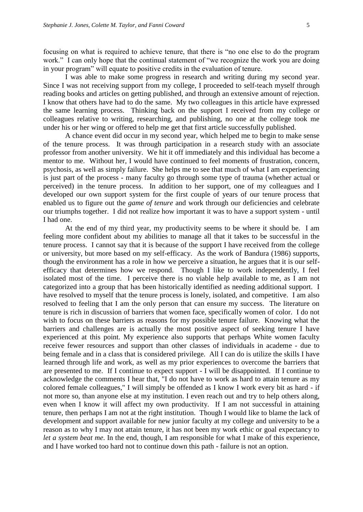focusing on what is required to achieve tenure, that there is "no one else to do the program work." I can only hope that the continual statement of "we recognize the work you are doing in your program" will equate to positive credits in the evaluation of tenure.

I was able to make some progress in research and writing during my second year. Since I was not receiving support from my college, I proceeded to self-teach myself through reading books and articles on getting published, and through an extensive amount of rejection. I know that others have had to do the same. My two colleagues in this article have expressed the same learning process. Thinking back on the support I received from my college or colleagues relative to writing, researching, and publishing, no one at the college took me under his or her wing or offered to help me get that first article successfully published.

A chance event did occur in my second year, which helped me to begin to make sense of the tenure process. It was through participation in a research study with an associate professor from another university. We hit it off immediately and this individual has become a mentor to me. Without her, I would have continued to feel moments of frustration, concern, psychosis, as well as simply failure. She helps me to see that much of what I am experiencing is just part of the process - many faculty go through some type of trauma (whether actual or perceived) in the tenure process. In addition to her support, one of my colleagues and I developed our own support system for the first couple of years of our tenure process that enabled us to figure out the *game of tenure* and work through our deficiencies and celebrate our triumphs together. I did not realize how important it was to have a support system - until I had one.

At the end of my third year, my productivity seems to be where it should be. I am feeling more confident about my abilities to manage all that it takes to be successful in the tenure process. I cannot say that it is because of the support I have received from the college or university, but more based on my self-efficacy. As the work of Bandura (1986) supports, though the environment has a role in how we perceive a situation, he argues that it is our selfefficacy that determines how we respond. Though I like to work independently, I feel isolated most of the time. I perceive there is no viable help available to me, as I am not categorized into a group that has been historically identified as needing additional support. I have resolved to myself that the tenure process is lonely, isolated, and competitive. I am also resolved to feeling that I am the only person that can ensure my success. The literature on tenure is rich in discussion of barriers that women face, specifically women of color. I do not wish to focus on these barriers as reasons for my possible tenure failure. Knowing what the barriers and challenges are is actually the most positive aspect of seeking tenure I have experienced at this point. My experience also supports that perhaps White women faculty receive fewer resources and support than other classes of individuals in academe - due to being female and in a class that is considered privilege. All I can do is utilize the skills I have learned through life and work, as well as my prior experiences to overcome the barriers that are presented to me. If I continue to expect support - I will be disappointed. If I continue to acknowledge the comments I hear that, "I do not have to work as hard to attain tenure as my colored female colleagues," I will simply be offended as I know I work every bit as hard - if not more so, than anyone else at my institution. I even reach out and try to help others along, even when I know it will affect my own productivity. If I am not successful in attaining tenure, then perhaps I am not at the right institution. Though I would like to blame the lack of development and support available for new junior faculty at my college and university to be a reason as to why I may not attain tenure, it has not been my work ethic or goal expectancy to *let a system beat me*. In the end, though, I am responsible for what I make of this experience, and I have worked too hard not to continue down this path - failure is not an option.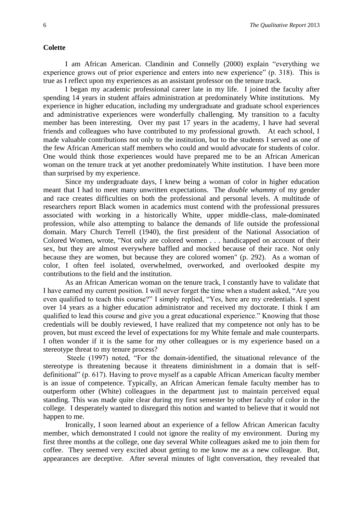#### **Colette**

I am African American. Clandinin and Connelly (2000) explain "everything we experience grows out of prior experience and enters into new experience" (p. 318). This is true as I reflect upon my experiences as an assistant professor on the tenure track.

I began my academic professional career late in my life. I joined the faculty after spending 14 years in student affairs administration at predominately White institutions. My experience in higher education, including my undergraduate and graduate school experiences and administrative experiences were wonderfully challenging. My transition to a faculty member has been interesting. Over my past 17 years in the academy, I have had several friends and colleagues who have contributed to my professional growth. At each school, I made valuable contributions not only to the institution, but to the students I served as one of the few African American staff members who could and would advocate for students of color. One would think those experiences would have prepared me to be an African American woman on the tenure track at yet another predominately White institution. I have been more than surprised by my experience.

Since my undergraduate days, I knew being a woman of color in higher education meant that I had to meet many unwritten expectations. The *double whammy* of my gender and race creates difficulties on both the professional and personal levels. A multitude of researchers report Black women in academics must contend with the professional pressures associated with working in a historically White, upper middle-class, male-dominated profession, while also attempting to balance the demands of life outside the professional domain. Mary Church Terrell (1940), the first president of the National Association of Colored Women, wrote, "Not only are colored women . . . handicapped on account of their sex, but they are almost everywhere baffled and mocked because of their race. Not only because they are women, but because they are colored women" (p. 292). As a woman of color, I often feel isolated, overwhelmed, overworked, and overlooked despite my contributions to the field and the institution.

As an African American woman on the tenure track, I constantly have to validate that I have earned my current position. I will never forget the time when a student asked, "Are you even qualified to teach this course?" I simply replied, "Yes, here are my credentials. I spent over 14 years as a higher education administrator and received my doctorate. I think I am qualified to lead this course and give you a great educational experience." Knowing that those credentials will be doubly reviewed, I have realized that my competence not only has to be proven, but must exceed the level of expectations for my White female and male counterparts. I often wonder if it is the same for my other colleagues or is my experience based on a stereotype threat to my tenure process?

Steele (1997) noted, "For the domain-identified, the situational relevance of the stereotype is threatening because it threatens diminishment in a domain that is selfdefinitional" (p. 617). Having to prove myself as a capable African American faculty member is an issue of competence. Typically, an African American female faculty member has to outperform other (White) colleagues in the department just to maintain perceived equal standing. This was made quite clear during my first semester by other faculty of color in the college. I desperately wanted to disregard this notion and wanted to believe that it would not happen to me.

Ironically, I soon learned about an experience of a fellow African American faculty member, which demonstrated I could not ignore the reality of my environment. During my first three months at the college, one day several White colleagues asked me to join them for coffee. They seemed very excited about getting to me know me as a new colleague. But, appearances are deceptive. After several minutes of light conversation, they revealed that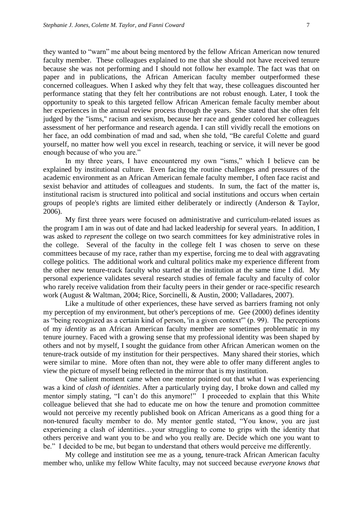they wanted to "warn" me about being mentored by the fellow African American now tenured faculty member. These colleagues explained to me that she should not have received tenure because she was not performing and I should not follow her example. The fact was that on paper and in publications, the African American faculty member outperformed these concerned colleagues. When I asked why they felt that way, these colleagues discounted her performance stating that they felt her contributions are not robust enough. Later, I took the opportunity to speak to this targeted fellow African American female faculty member about her experiences in the annual review process through the years. She stated that she often felt judged by the "isms," racism and sexism, because her race and gender colored her colleagues assessment of her performance and research agenda. I can still vividly recall the emotions on her face, an odd combination of mad and sad, when she told, "Be careful Colette and guard yourself, no matter how well you excel in research, teaching or service, it will never be good enough because of who you are."

In my three years, I have encountered my own "isms," which I believe can be explained by institutional culture. Even facing the routine challenges and pressures of the academic environment as an African American female faculty member, I often face racist and sexist behavior and attitudes of colleagues and students. In sum, the fact of the matter is, institutional racism is structured into political and social institutions and occurs when certain groups of people's rights are limited either deliberately or indirectly (Anderson & Taylor, 2006).

My first three years were focused on administrative and curriculum-related issues as the program I am in was out of date and had lacked leadership for several years. In addition, I was asked to *represent* the college on two search committees for key administrative roles in the college. Several of the faculty in the college felt I was chosen to serve on these committees because of my race, rather than my expertise, forcing me to deal with aggravating college politics. The additional work and cultural politics make my experience different from the other new tenure-track faculty who started at the institution at the same time I did. My personal experience validates several research studies of female faculty and faculty of color who rarely receive validation from their faculty peers in their gender or race-specific research work (August & Waltman, 2004; Rice, Sorcinelli, & Austin, 2000; Valladares, 2007).

Like a multitude of other experiences, these have served as barriers framing not only my perception of my environment, but other's perceptions of me. Gee (2000) defines identity as "being recognized as a certain kind of person, 'in a given context'" (p. 99). The perceptions of my *identity* as an African American faculty member are sometimes problematic in my tenure journey. Faced with a growing sense that my professional identity was been shaped by others and not by myself, I sought the guidance from other African American women on the tenure-track outside of my institution for their perspectives. Many shared their stories, which were similar to mine. More often than not, they were able to offer many different angles to view the picture of myself being reflected in the mirror that is my institution.

One salient moment came when one mentor pointed out that what I was experiencing was a kind of *clash of identities*. After a particularly trying day, I broke down and called my mentor simply stating, "I can't do this anymore!" I proceeded to explain that this White colleague believed that she had to educate me on how the tenure and promotion committee would not perceive my recently published book on African Americans as a good thing for a non-tenured faculty member to do. My mentor gentle stated, "You know, you are just experiencing a clash of identities…your struggling to come to grips with the identity that others perceive and want you to be and who you really are. Decide which one you want to be." I decided to be me, but began to understand that others would perceive me differently.

My college and institution see me as a young, tenure-track African American faculty member who, unlike my fellow White faculty, may not succeed because *everyone knows that*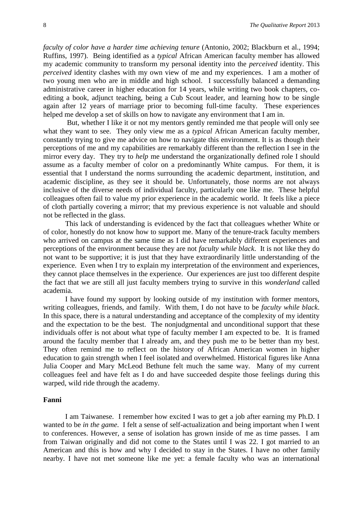*faculty of color have a harder time achieving tenure* (Antonio, 2002; Blackburn et al., 1994; Ruffins, 1997).Being identified as a *typical* African American faculty member has allowed my academic community to transform my personal identity into the *perceived* identity. This *perceived* identity clashes with my own view of me and my experiences. I am a mother of two young men who are in middle and high school. I successfully balanced a demanding administrative career in higher education for 14 years, while writing two book chapters, coediting a book, adjunct teaching, being a Cub Scout leader, and learning how to be single again after 12 years of marriage prior to becoming full-time faculty. These experiences helped me develop a set of skills on how to navigate any environment that I am in.

But, whether I like it or not my mentors gently reminded me that people will only see what they want to see. They only view me as a *typical* African American faculty member, constantly trying to give me advice on how to navigate this environment. It is as though their perceptions of me and my capabilities are remarkably different than the reflection I see in the mirror every day. They try to *help* me understand the organizationally defined role I should assume as a faculty member of color on a predominantly White campus. For them, it is essential that I understand the norms surrounding the academic department, institution, and academic discipline, as they see it should be. Unfortunately, those norms are not always inclusive of the diverse needs of individual faculty, particularly one like me. These helpful colleagues often fail to value my prior experience in the academic world. It feels like a piece of cloth partially covering a mirror; that my previous experience is not valuable and should not be reflected in the glass.

This lack of understanding is evidenced by the fact that colleagues whether White or of color, honestly do not know how to support me. Many of the tenure-track faculty members who arrived on campus at the same time as I did have remarkably different experiences and perceptions of the environment because they are not *faculty while black*. It is not like they do not want to be supportive; it is just that they have extraordinarily little understanding of the experience. Even when I try to explain my interpretation of the environment and experiences, they cannot place themselves in the experience. Our experiences are just too different despite the fact that we are still all just faculty members trying to survive in this *wonderland* called academia.

I have found my support by looking outside of my institution with former mentors, writing colleagues, friends, and family. With them, I do not have to be *faculty while black*. In this space, there is a natural understanding and acceptance of the complexity of my identity and the expectation to be the best. The nonjudgmental and unconditional support that these individuals offer is not about what type of faculty member I am expected to be. It is framed around the faculty member that I already am, and they push me to be better than my best. They often remind me to reflect on the history of African American women in higher education to gain strength when I feel isolated and overwhelmed. Historical figures like Anna Julia Cooper and Mary McLeod Bethune felt much the same way. Many of my current colleagues feel and have felt as I do and have succeeded despite those feelings during this warped, wild ride through the academy.

#### **Fanni**

I am Taiwanese. I remember how excited I was to get a job after earning my Ph.D. I wanted to be *in the game*. I felt a sense of self-actualization and being important when I went to conferences. However, a sense of isolation has grown inside of me as time passes. I am from Taiwan originally and did not come to the States until I was 22. I got married to an American and this is how and why I decided to stay in the States. I have no other family nearby. I have not met someone like me yet: a female faculty who was an international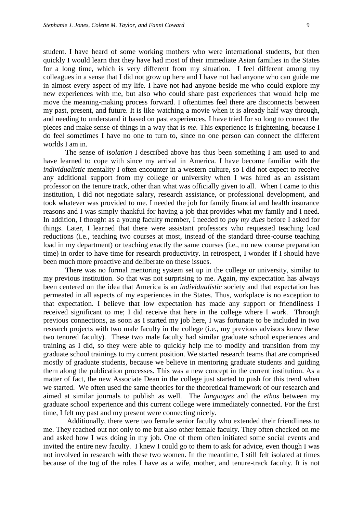student. I have heard of some working mothers who were international students, but then quickly I would learn that they have had most of their immediate Asian families in the States for a long time, which is very different from my situation. I feel different among my colleagues in a sense that I did not grow up here and I have not had anyone who can guide me in almost every aspect of my life. I have not had anyone beside me who could explore my new experiences with me, but also who could share past experiences that would help me move the meaning-making process forward. I oftentimes feel there are disconnects between my past, present, and future. It is like watching a movie when it is already half way through, and needing to understand it based on past experiences. I have tried for so long to connect the pieces and make sense of things in a way that is *me*. This experience is frightening, because I do feel sometimes I have no one to turn to, since no one person can connect the different worlds I am in.

The sense of *isolation* I described above has thus been something I am used to and have learned to cope with since my arrival in America. I have become familiar with the *individualistic* mentality I often encounter in a western culture, so I did not expect to receive any additional support from my college or university when I was hired as an assistant professor on the tenure track, other than what was officially given to all. When I came to this institution, I did not negotiate salary, research assistance, or professional development, and took whatever was provided to me. I needed the job for family financial and health insurance reasons and I was simply thankful for having a job that provides what my family and I need. In addition, I thought as a young faculty member, I needed to *pay my dues* before I asked for things. Later, I learned that there were assistant professors who requested teaching load reductions (i.e., teaching two courses at most, instead of the standard three-course teaching load in my department) or teaching exactly the same courses (i.e., no new course preparation time) in order to have time for research productivity. In retrospect, I wonder if I should have been much more proactive and deliberate on these issues.

There was no formal mentoring system set up in the college or university, similar to my previous institution. So that was not surprising to me. Again, my expectation has always been centered on the idea that America is an *individualistic* society and that expectation has permeated in all aspects of my experiences in the States. Thus, workplace is no exception to that expectation. I believe that low expectation has made any support or friendliness I received significant to me; I did receive that here in the college where I work. Through previous connections, as soon as I started my job here, I was fortunate to be included in two research projects with two male faculty in the college (i.e., my previous advisors knew these two tenured faculty). These two male faculty had similar graduate school experiences and training as I did, so they were able to quickly help me to modify and transition from my graduate school trainings to my current position. We started research teams that are comprised mostly of graduate students, because we believe in mentoring graduate students and guiding them along the publication processes. This was a new concept in the current institution. As a matter of fact, the new Associate Dean in the college just started to push for this trend when we started. We often used the same theories for the theoretical framework of our research and aimed at similar journals to publish as well. The *languages* and the *ethos* between my graduate school experience and this current college were immediately connected. For the first time, I felt my past and my present were connecting nicely.

Additionally, there were two female senior faculty who extended their friendliness to me. They reached out not only to me but also other female faculty. They often checked on me and asked how I was doing in my job. One of them often initiated some social events and invited the entire new faculty. I knew I could go to them to ask for advice, even though I was not involved in research with these two women. In the meantime, I still felt isolated at times because of the tug of the roles I have as a wife, mother, and tenure-track faculty. It is not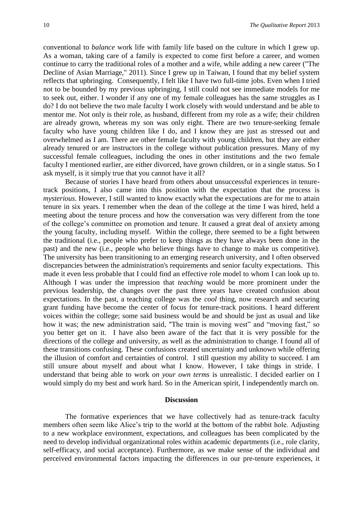conventional to *balance* work life with family life based on the culture in which I grew up. As a woman, taking care of a family is expected to come first before a career, and women continue to carry the traditional roles of a mother and a wife, while adding a new career ("The Decline of Asian Marriage," 2011). Since I grew up in Taiwan, I found that my belief system reflects that upbringing. Consequently, I felt like I have two full-time jobs. Even when I tried not to be bounded by my previous upbringing, I still could not see immediate models for me to seek out, either. I wonder if any one of my female colleagues has the same struggles as I do? I do not believe the two male faculty I work closely with would understand and be able to mentor me. Not only is their role, as husband, different from my role as a wife; their children are already grown, whereas my son was only eight. There are two tenure-seeking female faculty who have young children like I do, and I know they are just as stressed out and overwhelmed as I am. There are other female faculty with young children, but they are either already tenured or are instructors in the college without publication pressures. Many of my successful female colleagues, including the ones in other institutions and the two female faculty I mentioned earlier, are either divorced, have grown children, or in a single status. So I ask myself, is it simply true that you cannot have it all?

Because of stories I have heard from others about unsuccessful experiences in tenuretrack positions, I also came into this position with the expectation that the process is *mysterious*. However, I still wanted to know exactly what the expectations are for me to attain tenure in six years. I remember when the dean of the college at the time I was hired, held a meeting about the tenure process and how the conversation was very different from the tone of the college's committee on promotion and tenure. It caused a great deal of anxiety among the young faculty, including myself. Within the college, there seemed to be a fight between the traditional (i.e., people who prefer to keep things as they have always been done in the past) and the new (i.e., people who believe things have to change to make us competitive). The university has been transitioning to an emerging research university, and I often observed discrepancies between the administration's requirements and senior faculty expectations. This made it even less probable that I could find an effective role model to whom I can look up to. Although I was under the impression that *teaching* would be more prominent under the previous leadership, the changes over the past three years have created confusion about expectations. In the past, a teaching college was the *cool* thing, now research and securing grant funding have become the center of focus for tenure-track positions. I heard different voices within the college; some said business would be and should be just as usual and like how it was; the new administration said, "The train is moving west" and "moving fast," so you better get on it. I have also been aware of the fact that it is very possible for the directions of the college and university, as well as the administration to change. I found all of these transitions confusing. These confusions created uncertainty and unknown while offering the illusion of comfort and certainties of control. I still question my ability to succeed. I am still unsure about myself and about what I know. However, I take things in stride. I understand that being able to work *on your own terms* is unrealistic. I decided earlier on I would simply do my best and work hard. So in the American spirit, I independently march on.

#### **Discussion**

The formative experiences that we have collectively had as tenure-track faculty members often seem like Alice's trip to the world at the bottom of the rabbit hole. Adjusting to a new workplace environment, expectations, and colleagues has been complicated by the need to develop individual organizational roles within academic departments (i.e., role clarity, self-efficacy, and social acceptance). Furthermore, as we make sense of the individual and perceived environmental factors impacting the differences in our pre-tenure experiences, it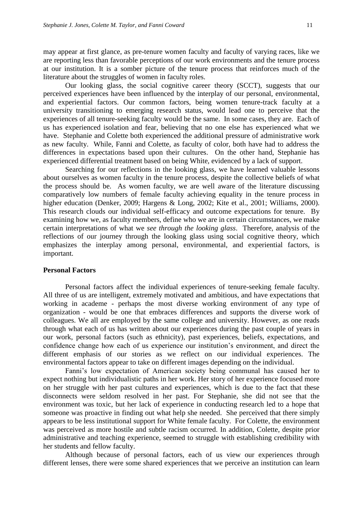may appear at first glance, as pre-tenure women faculty and faculty of varying races, like we are reporting less than favorable perceptions of our work environments and the tenure process at our institution. It is a somber picture of the tenure process that reinforces much of the literature about the struggles of women in faculty roles.

Our looking glass, the social cognitive career theory (SCCT), suggests that our perceived experiences have been influenced by the interplay of our personal, environmental, and experiential factors. Our common factors, being women tenure-track faculty at a university transitioning to emerging research status, would lead one to perceive that the experiences of all tenure-seeking faculty would be the same. In some cases, they are. Each of us has experienced isolation and fear, believing that no one else has experienced what we have. Stephanie and Colette both experienced the additional pressure of administrative work as new faculty. While, Fanni and Colette, as faculty of color, both have had to address the differences in expectations based upon their cultures. On the other hand, Stephanie has experienced differential treatment based on being White, evidenced by a lack of support.

Searching for our reflections in the looking glass, we have learned valuable lessons about ourselves as women faculty in the tenure process, despite the collective beliefs of what the process should be. As women faculty, we are well aware of the literature discussing comparatively low numbers of female faculty achieving equality in the tenure process in higher education (Denker, 2009; Hargens & Long, 2002; Kite et al., 2001; Williams, 2000). This research clouds our individual self-efficacy and outcome expectations for tenure. By examining how we, as faculty members, define who we are in certain circumstances, we make certain interpretations of what we *see through the looking glass*. Therefore, analysis of the reflections of our journey through the looking glass using social cognitive theory, which emphasizes the interplay among personal, environmental, and experiential factors, is important.

## **Personal Factors**

Personal factors affect the individual experiences of tenure-seeking female faculty. All three of us are intelligent, extremely motivated and ambitious, and have expectations that working in academe - perhaps the most diverse working environment of any type of organization - would be one that embraces differences and supports the diverse work of colleagues. We all are employed by the same college and university. However, as one reads through what each of us has written about our experiences during the past couple of years in our work, personal factors (such as ethnicity), past experiences, beliefs, expectations, and confidence change how each of us experience our institution's environment, and direct the different emphasis of our stories as we reflect on our individual experiences. The environmental factors appear to take on different images depending on the individual.

Fanni's low expectation of American society being communal has caused her to expect nothing but individualistic paths in her work. Her story of her experience focused more on her struggle with her past cultures and experiences, which is due to the fact that these disconnects were seldom resolved in her past. For Stephanie, she did not see that the environment was toxic, but her lack of experience in conducting research led to a hope that someone was proactive in finding out what help she needed. She perceived that there simply appears to be less institutional support for White female faculty. For Colette, the environment was perceived as more hostile and subtle racism occurred. In addition, Colette, despite prior administrative and teaching experience, seemed to struggle with establishing credibility with her students and fellow faculty.

Although because of personal factors, each of us view our experiences through different lenses, there were some shared experiences that we perceive an institution can learn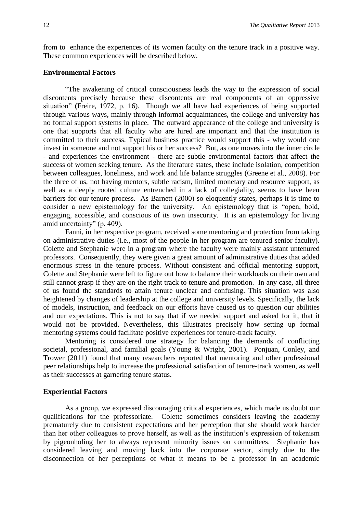from to enhance the experiences of its women faculty on the tenure track in a positive way. These common experiences will be described below.

## **Environmental Factors**

"The awakening of critical consciousness leads the way to the expression of social discontents precisely because these discontents are real components of an oppressive situation" **(**Freire, 1972, p. 16). Though we all have had experiences of being supported through various ways, mainly through informal acquaintances, the college and university has no formal support systems in place. The outward appearance of the college and university is one that supports that all faculty who are hired are important and that the institution is committed to their success. Typical business practice would support this - why would one invest in someone and not support his or her success? But, as one moves into the inner circle - and experiences the environment - there are subtle environmental factors that affect the success of women seeking tenure. As the literature states, these include isolation, competition between colleagues, loneliness, and work and life balance struggles (Greene et al., 2008). For the three of us, not having mentors, subtle racism, limited monetary and resource support, as well as a deeply rooted culture entrenched in a lack of collegiality, seems to have been barriers for our tenure process. As Barnett (2000) so eloquently states, perhaps it is time to consider a new epistemology for the university. An epistemology that is "open, bold, engaging, accessible, and conscious of its own insecurity. It is an epistemology for living amid uncertainty" (p. 409).

Fanni, in her respective program, received some mentoring and protection from taking on administrative duties (i.e., most of the people in her program are tenured senior faculty). Colette and Stephanie were in a program where the faculty were mainly assistant untenured professors. Consequently, they were given a great amount of administrative duties that added enormous stress in the tenure process. Without consistent and official mentoring support, Colette and Stephanie were left to figure out how to balance their workloads on their own and still cannot grasp if they are on the right track to tenure and promotion. In any case, all three of us found the standards to attain tenure unclear and confusing. This situation was also heightened by changes of leadership at the college and university levels. Specifically, the lack of models, instruction, and feedback on our efforts have caused us to question our abilities and our expectations. This is not to say that if we needed support and asked for it, that it would not be provided. Nevertheless, this illustrates precisely how setting up formal mentoring systems could facilitate positive experiences for tenure-track faculty.

Mentoring is considered one strategy for balancing the demands of conflicting societal, professional, and familial goals (Young & Wright, 2001). Ponjuan, Conley, and Trower (2011) found that many researchers reported that mentoring and other professional peer relationships help to increase the professional satisfaction of tenure-track women, as well as their successes at garnering tenure status.

## **Experiential Factors**

As a group, we expressed discouraging critical experiences, which made us doubt our qualifications for the professoriate. Colette sometimes considers leaving the academy prematurely due to consistent expectations and her perception that she should work harder than her other colleagues to prove herself, as well as the institution's expression of tokenism by pigeonholing her to always represent minority issues on committees. Stephanie has considered leaving and moving back into the corporate sector, simply due to the disconnection of her perceptions of what it means to be a professor in an academic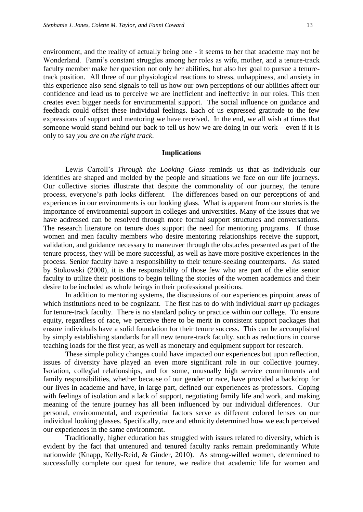environment, and the reality of actually being one - it seems to her that academe may not be Wonderland. Fanni's constant struggles among her roles as wife, mother, and a tenure-track faculty member make her question not only her abilities, but also her goal to pursue a tenuretrack position. All three of our physiological reactions to stress, unhappiness, and anxiety in this experience also send signals to tell us how our own perceptions of our abilities affect our confidence and lead us to perceive we are inefficient and ineffective in our roles. This then creates even bigger needs for environmental support. The social influence on guidance and feedback could offset these individual feelings. Each of us expressed gratitude to the few expressions of support and mentoring we have received. In the end, we all wish at times that someone would stand behind our back to tell us how we are doing in our work – even if it is only to say *you are on the right track*.

#### **Implications**

Lewis Carroll's *Through the Looking Glass* reminds us that as individuals our identities are shaped and molded by the people and situations we face on our life journeys. Our collective stories illustrate that despite the commonality of our journey, the tenure process, everyone's path looks different. The differences based on our perceptions of and experiences in our environments is our looking glass. What is apparent from our stories is the importance of environmental support in colleges and universities. Many of the issues that we have addressed can be resolved through more formal support structures and conversations. The research literature on tenure does support the need for mentoring programs. If those women and men faculty members who desire mentoring relationships receive the support, validation, and guidance necessary to maneuver through the obstacles presented as part of the tenure process, they will be more successful, as well as have more positive experiences in the process. Senior faculty have a responsibility to their tenure-seeking counterparts. As stated by Stokowski (2000), it is the responsibility of those few who are part of the elite senior faculty to utilize their positions to begin telling the stories of the women academics and their desire to be included as whole beings in their professional positions.

In addition to mentoring systems, the discussions of our experiences pinpoint areas of which institutions need to be cognizant. The first has to do with individual *start up* packages for tenure-track faculty. There is no standard policy or practice within our college. To ensure equity, regardless of race, we perceive there to be merit in consistent support packages that ensure individuals have a solid foundation for their tenure success. This can be accomplished by simply establishing standards for all new tenure-track faculty, such as reductions in course teaching loads for the first year, as well as monetary and equipment support for research.

These simple policy changes could have impacted our experiences but upon reflection, issues of diversity have played an even more significant role in our collective journey. Isolation, collegial relationships, and for some, unusually high service commitments and family responsibilities, whether because of our gender or race, have provided a backdrop for our lives in academe and have, in large part, defined our experiences as professors. Coping with feelings of isolation and a lack of support, negotiating family life and work, and making meaning of the tenure journey has all been influenced by our individual differences. Our personal, environmental, and experiential factors serve as different colored lenses on our individual looking glasses. Specifically, race and ethnicity determined how we each perceived our experiences in the same environment.

Traditionally, higher education has struggled with issues related to diversity, which is evident by the fact that untenured and tenured faculty ranks remain predominantly White nationwide (Knapp, Kelly-Reid, & Ginder, 2010). As strong-willed women, determined to successfully complete our quest for tenure, we realize that academic life for women and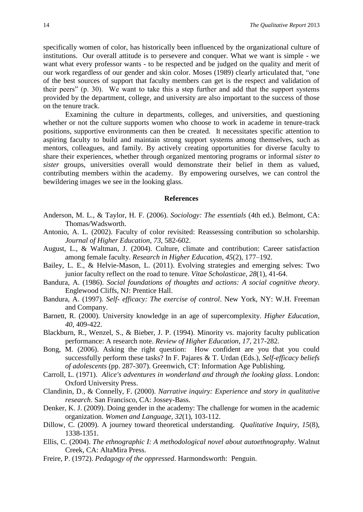specifically women of color, has historically been influenced by the organizational culture of institutions. Our overall attitude is to persevere and conquer. What we want is simple - we want what every professor wants - to be respected and be judged on the quality and merit of our work regardless of our gender and skin color. Moses (1989) clearly articulated that, "one of the best sources of support that faculty members can get is the respect and validation of their peers" (p. 30). We want to take this a step further and add that the support systems provided by the department, college, and university are also important to the success of those on the tenure track.

Examining the culture in departments, colleges, and universities, and questioning whether or not the culture supports women who choose to work in academe in tenure-track positions, supportive environments can then be created. It necessitates specific attention to aspiring faculty to build and maintain strong support systems among themselves, such as mentors, colleagues, and family. By actively creating opportunities for diverse faculty to share their experiences, whether through organized mentoring programs or informal *sister to sister* groups, universities overall would demonstrate their belief in them as valued, contributing members within the academy. By empowering ourselves, we can control the bewildering images we see in the looking glass.

#### **References**

- Anderson, M. L., & Taylor, H. F. (2006). *Sociology: The essentials* (4th ed.). Belmont, CA: Thomas/Wadsworth.
- Antonio, A. L. (2002). Faculty of color revisited: Reassessing contribution so scholarship. *Journal of Higher Education*, *73*, 582-602.
- August, L., & Waltman, J. (2004). Culture, climate and contribution: Career satisfaction among female faculty. *Research in Higher Education*, *45*(2), 177–192.
- Bailey, L. E., & Helvie-Mason, L. (2011). Evolving strategies and emerging selves: Two junior faculty reflect on the road to tenure. *Vitae Scholasticae, 28*(1), 41-64.
- Bandura, A. (1986). *Social foundations of thoughts and actions: A social cognitive theory*. Englewood Cliffs, NJ: Prentice Hall.
- Bandura, A. (1997). *Self- efficacy: The exercise of control*. New York, NY: W.H. Freeman and Company.
- Barnett, R. (2000). University knowledge in an age of supercomplexity. *Higher Education, 40,* 409-422.
- Blackburn, R., Wenzel, S., & Bieber, J. P. (1994). Minority vs. majority faculty publication performance: A research note. *Review of Higher Education*, *17*, 217-282.
- Bong, M. (2006). Asking the right question: How confident are you that you could successfully perform these tasks? In F. Pajares & T. Urdan (Eds.), *Self-efficacy beliefs of adolescents* (pp. 287-307). Greenwich, CT: Information Age Publishing.
- Carroll, L. (1971). *Alice's adventures in wonderland and through the looking glass*. London: Oxford University Press.
- Clandinin, D., & Connelly, F. (2000). *Narrative inquiry: Experience and story in qualitative research*. San Francisco, CA: Jossey-Bass.
- Denker, K. J. (2009). Doing gender in the academy: The challenge for women in the academic organization. *Women and Language*, *32*(1), 103-112.
- Dillow, C. (2009). A journey toward theoretical understanding. *Qualitative Inquiry*, *15*(8), 1338-1351.
- Ellis, C. (2004). *The ethnographic I: A methodological novel about autoethnography*. Walnut Creek, CA: AltaMira Press.
- Freire, P. (1972). *Pedagogy of the oppressed*. Harmondsworth: Penguin.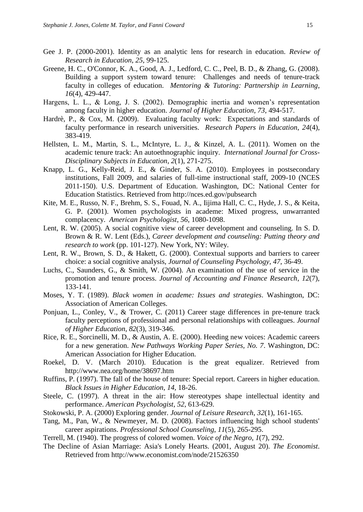- Gee J. P. (2000-2001). Identity as an analytic lens for research in education*. Review of Research in Education*, *25*, 99-125.
- Greene, H. C., O'Connor, K. A., Good, A. J., Ledford, C. C., Peel, B. D., & Zhang, G. (2008). Building a support system toward tenure: Challenges and needs of tenure-track faculty in colleges of education. *Mentoring & Tutoring: Partnership in Learning*, *16*(4), 429-447.
- Hargens, L. L., & Long, J. S. (2002). Demographic inertia and women's representation among faculty in higher education. *Journal of Higher Education*, *73*, 494-517.
- Hardrè, P., & Cox, M. (2009). Evaluating faculty work: Expectations and standards of faculty performance in research universities. *Research Papers in Education*, *24*(4), 383-419.
- Hellsten, L. M., Martin, S. L., McIntyre, L. J., & Kinzel, A. L. (2011). Women on the academic tenure track: An autoethnographic inquiry. *International Journal for Cross-Disciplinary Subjects in Education*, *2*(1), 271-275.
- Knapp, L. G., Kelly-Reid, J. E., & Ginder, S. A. (2010). Employees in postsecondary institutions, Fall 2009, and salaries of full-time instructional staff, 2009-10 (NCES 2011-150). U.S. Department of Education. Washington, DC: National Center for Education Statistics. Retrieved from http://nces.ed.gov/pubsearch
- Kite, M. E., Russo, N. F., Brehm, S. S., Fouad, N. A., Iijima Hall, C. C., Hyde, J. S., & Keita, G. P. (2001). Women psychologists in academe: Mixed progress, unwarranted complacency. *American Psychologist*, *56*, 1080-1098.
- Lent, R. W. (2005). A social cognitive view of career development and counseling. In S. D. Brown & R. W. Lent (Eds.), *Career development and counseling: Putting theory and research to work* (pp. 101-127). New York, NY: Wiley.
- Lent, R. W., Brown, S. D., & Hakett, G. (2000). Contextual supports and barriers to career choice: a social cognitive analysis, *Journal of Counseling Psychology*, *47*, 36-49.
- Luchs, C., Saunders, G., & Smith, W. (2004). An examination of the use of service in the promotion and tenure process. *Journal of Accounting and Finance Research*, *12*(7), 133-141.
- Moses, Y. T. (1989). *Black women in academe: Issues and strategies*. Washington, DC: Association of American Colleges.
- Ponjuan, L., Conley, V., & Trower, C. (2011) Career stage differences in pre-tenure track faculty perceptions of professional and personal relationships with colleagues. *Journal of Higher Education*, *82*(3), 319-346.
- Rice, R. E., Sorcinelli, M. D., & Austin, A. E. (2000). Heeding new voices: Academic careers for a new generation. *New Pathways Working Paper Series, No. 7*. Washington, DC: American Association for Higher Education.
- Roekel, D. V. (March 2010). Education is the great equalizer. Retrieved from http://www.nea.org/home/38697.htm
- Ruffins, P. (1997). The fall of the house of tenure: Special report. Careers in higher education. *Black Issues in Higher Education*, *14*, 18-26.
- Steele, C. (1997). A threat in the air: How stereotypes shape intellectual identity and performance. *American Psychologist*, *52*, 613-629.
- Stokowski, P. A. (2000) Exploring gender. *Journal of Leisure Research*, *32*(1), 161-165.
- Tang, M., Pan, W., & Newmeyer, M. D. (2008). Factors influencing high school students' career aspirations. *Professional School Counseling*, *11*(5), 265-295.
- Terrell, M. (1940). The progress of colored women. *Voice of the Negro*, *1*(7), 292.
- The Decline of Asian Marriage: Asia's Lonely Hearts. (2001, August 20). *The Economist*. Retrieved from http://www.economist.com/node/21526350